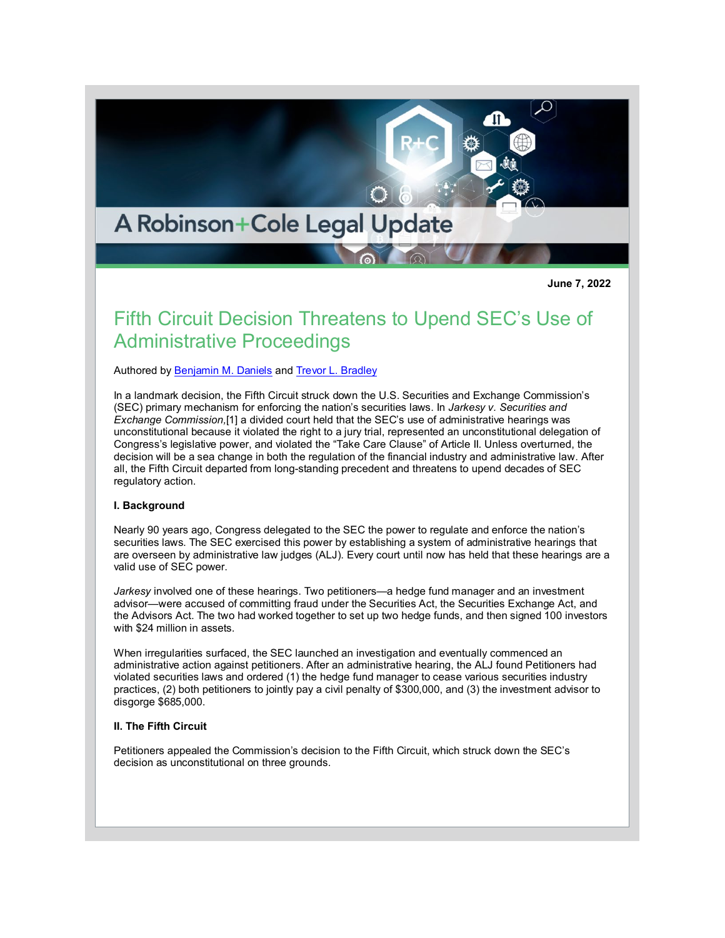

**June 7, 2022**

# Fifth Circuit Decision Threatens to Upend SEC's Use of Administrative Proceedings

Authored by [Benjamin M. Daniels](http://www.rc.com/people/BenjaminMDaniels.cfm) and [Trevor L. Bradley](http://www.rc.com/people/TrevorLBradley.cfm)

In a landmark decision, the Fifth Circuit struck down the U.S. Securities and Exchange Commission's (SEC) primary mechanism for enforcing the nation's securities laws. In *Jarkesy v. Securities and Exchange Commission,*[1] a divided court held that the SEC's use of administrative hearings was unconstitutional because it violated the right to a jury trial, represented an unconstitutional delegation of Congress's legislative power, and violated the "Take Care Clause" of Article II. Unless overturned, the decision will be a sea change in both the regulation of the financial industry and administrative law. After all, the Fifth Circuit departed from long-standing precedent and threatens to upend decades of SEC regulatory action.

## **I. Background**

Nearly 90 years ago, Congress delegated to the SEC the power to regulate and enforce the nation's securities laws. The SEC exercised this power by establishing a system of administrative hearings that are overseen by administrative law judges (ALJ). Every court until now has held that these hearings are a valid use of SEC power.

*Jarkesy* involved one of these hearings. Two petitioners—a hedge fund manager and an investment advisor—were accused of committing fraud under the Securities Act, the Securities Exchange Act, and the Advisors Act. The two had worked together to set up two hedge funds, and then signed 100 investors with \$24 million in assets.

When irregularities surfaced, the SEC launched an investigation and eventually commenced an administrative action against petitioners. After an administrative hearing, the ALJ found Petitioners had violated securities laws and ordered (1) the hedge fund manager to cease various securities industry practices, (2) both petitioners to jointly pay a civil penalty of \$300,000, and (3) the investment advisor to disgorge \$685,000.

# **II. The Fifth Circuit**

Petitioners appealed the Commission's decision to the Fifth Circuit, which struck down the SEC's decision as unconstitutional on three grounds.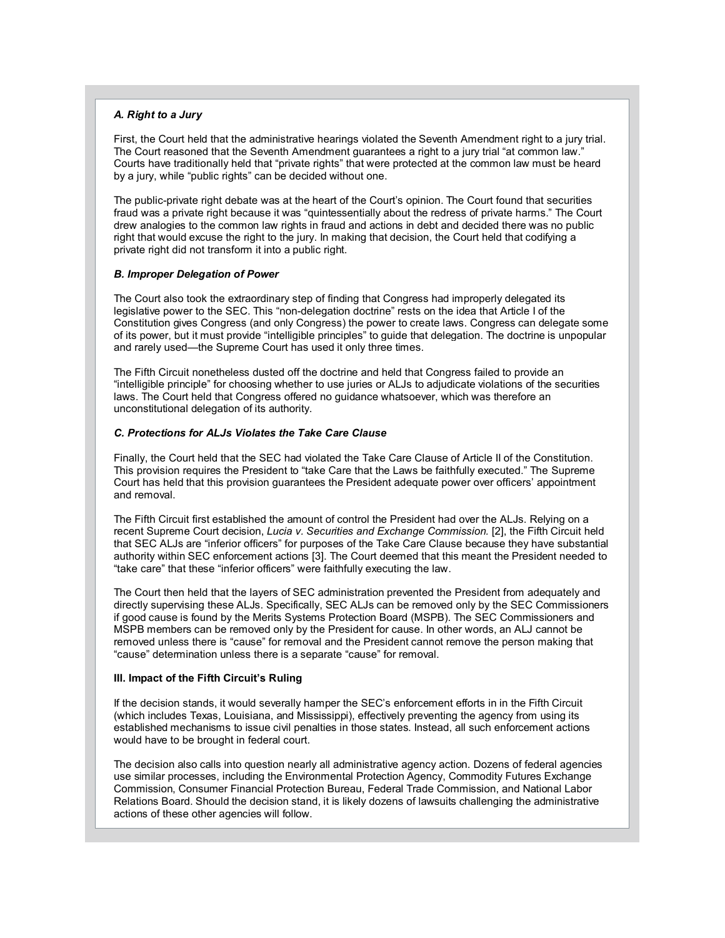## *A. Right to a Jury*

First, the Court held that the administrative hearings violated the Seventh Amendment right to a jury trial. The Court reasoned that the Seventh Amendment guarantees a right to a jury trial "at common law." Courts have traditionally held that "private rights" that were protected at the common law must be heard by a jury, while "public rights" can be decided without one.

The public-private right debate was at the heart of the Court's opinion. The Court found that securities fraud was a private right because it was "quintessentially about the redress of private harms." The Court drew analogies to the common law rights in fraud and actions in debt and decided there was no public right that would excuse the right to the jury. In making that decision, the Court held that codifying a private right did not transform it into a public right.

#### *B. Improper Delegation of Power*

The Court also took the extraordinary step of finding that Congress had improperly delegated its legislative power to the SEC. This "non-delegation doctrine" rests on the idea that Article I of the Constitution gives Congress (and only Congress) the power to create laws. Congress can delegate some of its power, but it must provide "intelligible principles" to guide that delegation. The doctrine is unpopular and rarely used—the Supreme Court has used it only three times.

The Fifth Circuit nonetheless dusted off the doctrine and held that Congress failed to provide an "intelligible principle" for choosing whether to use juries or ALJs to adjudicate violations of the securities laws. The Court held that Congress offered no guidance whatsoever, which was therefore an unconstitutional delegation of its authority.

# *C. Protections for ALJs Violates the Take Care Clause*

Finally, the Court held that the SEC had violated the Take Care Clause of Article II of the Constitution. This provision requires the President to "take Care that the Laws be faithfully executed." The Supreme Court has held that this provision guarantees the President adequate power over officers' appointment and removal.

The Fifth Circuit first established the amount of control the President had over the ALJs. Relying on a recent Supreme Court decision, *Lucia v. Securities and Exchange Commission.* [2], the Fifth Circuit held that SEC ALJs are "inferior officers" for purposes of the Take Care Clause because they have substantial authority within SEC enforcement actions [3]. The Court deemed that this meant the President needed to "take care" that these "inferior officers" were faithfully executing the law.

The Court then held that the layers of SEC administration prevented the President from adequately and directly supervising these ALJs. Specifically, SEC ALJs can be removed only by the SEC Commissioners if good cause is found by the Merits Systems Protection Board (MSPB). The SEC Commissioners and MSPB members can be removed only by the President for cause. In other words, an ALJ cannot be removed unless there is "cause" for removal and the President cannot remove the person making that "cause" determination unless there is a separate "cause" for removal.

#### **III. Impact of the Fifth Circuit's Ruling**

If the decision stands, it would severally hamper the SEC's enforcement efforts in in the Fifth Circuit (which includes Texas, Louisiana, and Mississippi), effectively preventing the agency from using its established mechanisms to issue civil penalties in those states. Instead, all such enforcement actions would have to be brought in federal court.

The decision also calls into question nearly all administrative agency action. Dozens of federal agencies use similar processes, including the Environmental Protection Agency, Commodity Futures Exchange Commission, Consumer Financial Protection Bureau, Federal Trade Commission, and National Labor Relations Board. Should the decision stand, it is likely dozens of lawsuits challenging the administrative actions of these other agencies will follow.